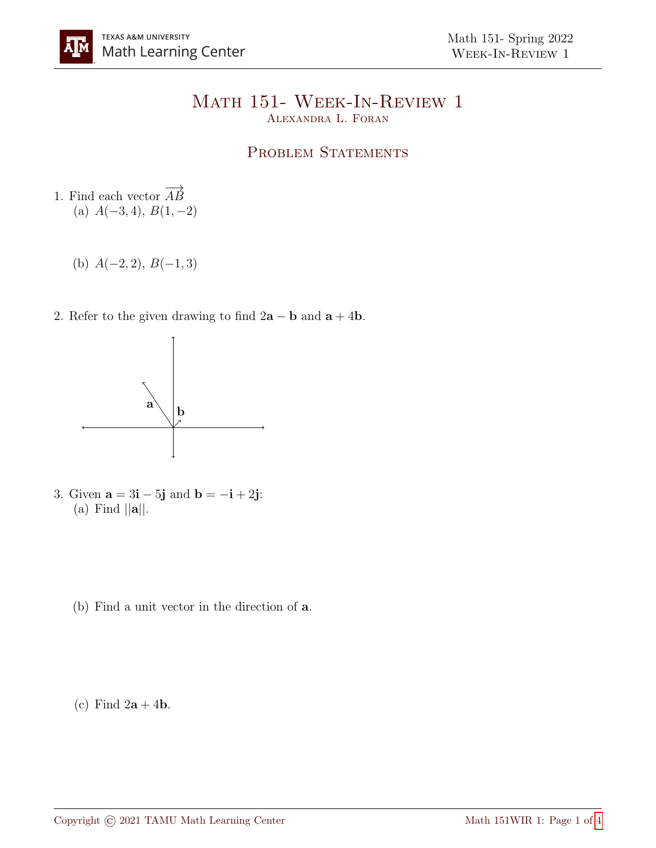## Math 151- Week-In-Review 1 Alexandra L. Foran

## PROBLEM STATEMENTS

- 1. Find each vector  $\overrightarrow{AB}$ (a)  $A(-3, 4)$ ,  $B(1, -2)$ 
	- (b)  $A(-2, 2), B(-1, 3)$
- 2. Refer to the given drawing to find  $2\mathbf{a} \mathbf{b}$  and  $\mathbf{a} + 4\mathbf{b}$ .



- 3. Given  $\mathbf{a} = 3\mathbf{i} 5\mathbf{j}$  and  $\mathbf{b} = -\mathbf{i} + 2\mathbf{j}$ : (a) Find  $||\mathbf{a}||$ .
	- (b) Find a unit vector in the direction of a.
	- (c) Find  $2\mathbf{a} + 4\mathbf{b}$ .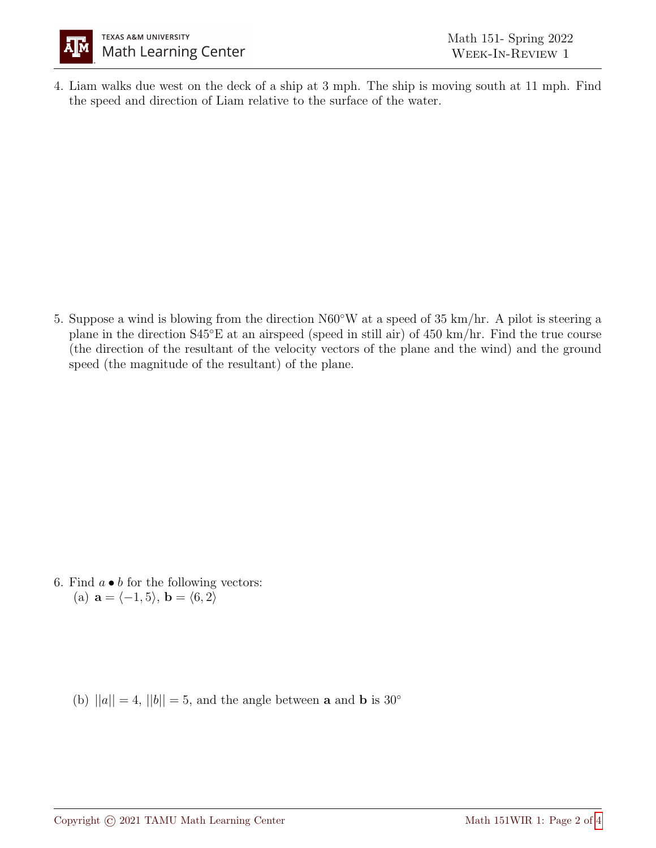

4. Liam walks due west on the deck of a ship at 3 mph. The ship is moving south at 11 mph. Find the speed and direction of Liam relative to the surface of the water.

5. Suppose a wind is blowing from the direction N60◦W at a speed of 35 km/hr. A pilot is steering a plane in the direction S45◦E at an airspeed (speed in still air) of 450 km/hr. Find the true course (the direction of the resultant of the velocity vectors of the plane and the wind) and the ground speed (the magnitude of the resultant) of the plane.

6. Find  $a \bullet b$  for the following vectors: (a)  $\mathbf{a} = \langle -1, 5 \rangle$ ,  $\mathbf{b} = \langle 6, 2 \rangle$ 

(b)  $||a|| = 4$ ,  $||b|| = 5$ , and the angle between **a** and **b** is 30<sup>°</sup>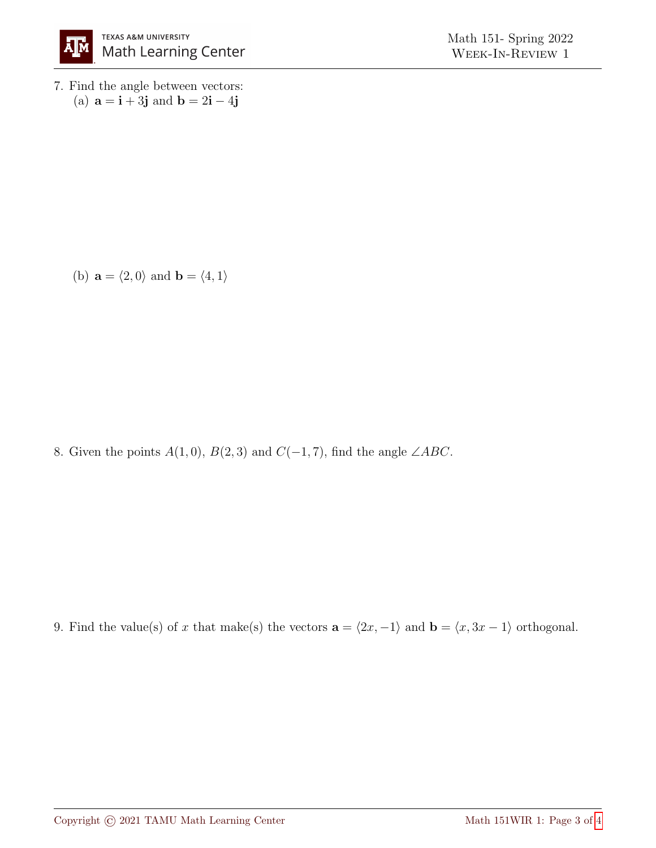

7. Find the angle between vectors: (a)  $\mathbf{a} = \mathbf{i} + 3\mathbf{j}$  and  $\mathbf{b} = 2\mathbf{i} - 4\mathbf{j}$ 

(b)  $\mathbf{a} = \langle 2, 0 \rangle$  and  $\mathbf{b} = \langle 4, 1 \rangle$ 

8. Given the points  $A(1,0), B(2,3)$  and  $C(-1,7)$ , find the angle ∠ABC.

9. Find the value(s) of x that make(s) the vectors  $\mathbf{a} = \langle 2x, -1 \rangle$  and  $\mathbf{b} = \langle x, 3x - 1 \rangle$  orthogonal.